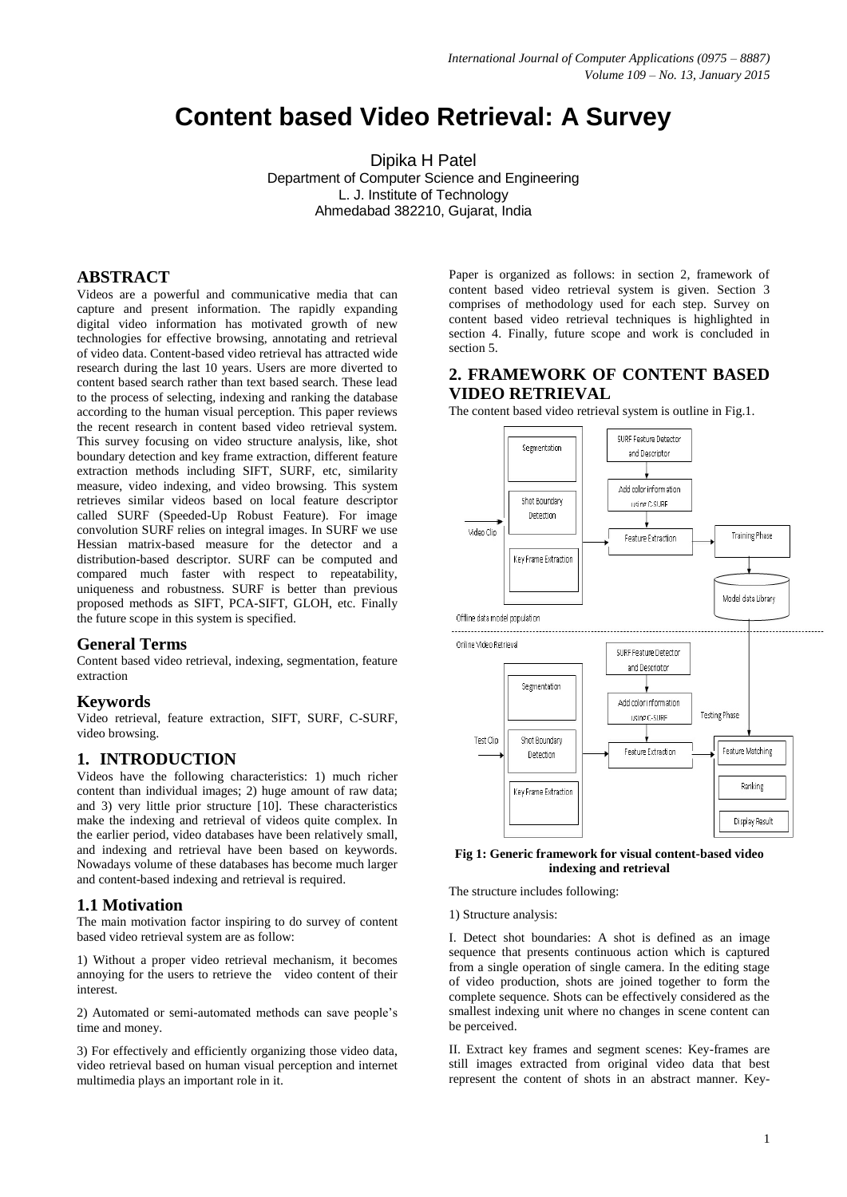# **Content based Video Retrieval: A Survey**

Dipika H Patel Department of Computer Science and Engineering L. J. Institute of Technology Ahmedabad 382210, Gujarat, India

# **ABSTRACT**

Videos are a powerful and communicative media that can capture and present information. The rapidly expanding digital video information has motivated growth of new technologies for effective browsing, annotating and retrieval of video data. Content-based video retrieval has attracted wide research during the last 10 years. Users are more diverted to content based search rather than text based search. These lead to the process of selecting, indexing and ranking the database according to the human visual perception. This paper reviews the recent research in content based video retrieval system. This survey focusing on video structure analysis, like, shot boundary detection and key frame extraction, different feature extraction methods including SIFT, SURF, etc, similarity measure, video indexing, and video browsing. This system retrieves similar videos based on local feature descriptor called SURF (Speeded-Up Robust Feature). For image convolution SURF relies on integral images. In SURF we use Hessian matrix-based measure for the detector and a distribution-based descriptor. SURF can be computed and compared much faster with respect to repeatability, uniqueness and robustness. SURF is better than previous proposed methods as SIFT, PCA-SIFT, GLOH, etc. Finally the future scope in this system is specified.

# **General Terms**

Content based video retrieval, indexing, segmentation, feature extraction

### **Keywords**

Video retrieval, feature extraction, SIFT, SURF, C-SURF, video browsing.

# **1. INTRODUCTION**

Videos have the following characteristics: 1) much richer content than individual images; 2) huge amount of raw data; and 3) very little prior structure [10]. These characteristics make the indexing and retrieval of videos quite complex. In the earlier period, video databases have been relatively small, and indexing and retrieval have been based on keywords. Nowadays volume of these databases has become much larger and content-based indexing and retrieval is required.

# **1.1 Motivation**

The main motivation factor inspiring to do survey of content based video retrieval system are as follow:

1) Without a proper video retrieval mechanism, it becomes annoying for the users to retrieve the video content of their interest.

2) Automated or semi-automated methods can save people"s time and money.

3) For effectively and efficiently organizing those video data, video retrieval based on human visual perception and internet multimedia plays an important role in it.

Paper is organized as follows: in section 2, framework of content based video retrieval system is given. Section 3 comprises of methodology used for each step. Survey on content based video retrieval techniques is highlighted in section 4. Finally, future scope and work is concluded in section 5.

# **2. FRAMEWORK OF CONTENT BASED VIDEO RETRIEVAL**

The content based video retrieval system is outline in Fig.1.



#### **Fig 1: Generic framework for visual content-based video indexing and retrieval**

The structure includes following:

1) Structure analysis:

I. Detect shot boundaries: A shot is defined as an image sequence that presents continuous action which is captured from a single operation of single camera. In the editing stage of video production, shots are joined together to form the complete sequence. Shots can be effectively considered as the smallest indexing unit where no changes in scene content can be perceived.

II. Extract key frames and segment scenes: Key-frames are still images extracted from original video data that best represent the content of shots in an abstract manner. Key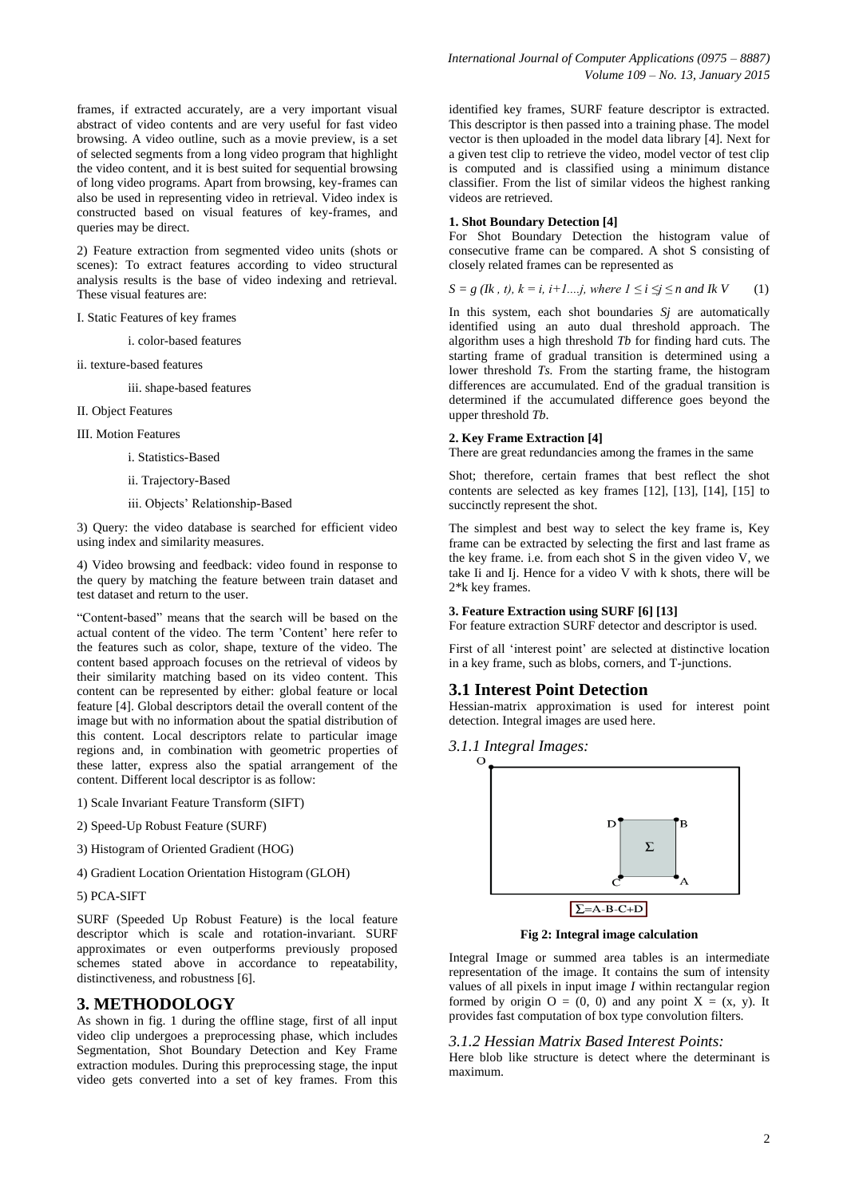frames, if extracted accurately, are a very important visual abstract of video contents and are very useful for fast video browsing. A video outline, such as a movie preview, is a set of selected segments from a long video program that highlight the video content, and it is best suited for sequential browsing of long video programs. Apart from browsing, key-frames can also be used in representing video in retrieval. Video index is constructed based on visual features of key-frames, and queries may be direct.

2) Feature extraction from segmented video units (shots or scenes): To extract features according to video structural analysis results is the base of video indexing and retrieval. These visual features are:

I. Static Features of key frames

i. color-based features

ii. texture-based features

iii. shape-based features

II. Object Features

III. Motion Features

i. Statistics-Based

- ii. Trajectory-Based
- iii. Objects" Relationship-Based

3) Query: the video database is searched for efficient video using index and similarity measures.

4) Video browsing and feedback: video found in response to the query by matching the feature between train dataset and test dataset and return to the user.

"Content-based" means that the search will be based on the actual content of the video. The term "Content" here refer to the features such as color, shape, texture of the video. The content based approach focuses on the retrieval of videos by their similarity matching based on its video content. This content can be represented by either: global feature or local feature [4]. Global descriptors detail the overall content of the image but with no information about the spatial distribution of this content. Local descriptors relate to particular image regions and, in combination with geometric properties of these latter, express also the spatial arrangement of the content. Different local descriptor is as follow:

- 1) Scale Invariant Feature Transform (SIFT)
- 2) Speed-Up Robust Feature (SURF)
- 3) Histogram of Oriented Gradient (HOG)
- 4) Gradient Location Orientation Histogram (GLOH)

#### 5) PCA-SIFT

SURF (Speeded Up Robust Feature) is the local feature descriptor which is scale and rotation-invariant. SURF approximates or even outperforms previously proposed schemes stated above in accordance to repeatability, distinctiveness, and robustness [6].

# **3. METHODOLOGY**

As shown in fig. 1 during the offline stage, first of all input video clip undergoes a preprocessing phase, which includes Segmentation, Shot Boundary Detection and Key Frame extraction modules. During this preprocessing stage, the input video gets converted into a set of key frames. From this

identified key frames, SURF feature descriptor is extracted. This descriptor is then passed into a training phase. The model vector is then uploaded in the model data library [4]. Next for a given test clip to retrieve the video, model vector of test clip is computed and is classified using a minimum distance classifier. From the list of similar videos the highest ranking videos are retrieved.

#### **1. Shot Boundary Detection [4]**

For Shot Boundary Detection the histogram value of consecutive frame can be compared. A shot S consisting of closely related frames can be represented as

*S* = *g* (*Ik*, *t*), *k* = *i*, *i*+*1....j*, *where l* ≤ *i* ≤ *j* ≤ *n and Ik V* (1)

In this system, each shot boundaries *Sj* are automatically identified using an auto dual threshold approach. The algorithm uses a high threshold *Tb* for finding hard cuts. The starting frame of gradual transition is determined using a lower threshold *Ts*. From the starting frame, the histogram differences are accumulated. End of the gradual transition is determined if the accumulated difference goes beyond the upper threshold *Tb*.

#### **2. Key Frame Extraction [4]**

There are great redundancies among the frames in the same

Shot; therefore, certain frames that best reflect the shot contents are selected as key frames [12], [13], [14], [15] to succinctly represent the shot.

The simplest and best way to select the key frame is, Key frame can be extracted by selecting the first and last frame as the key frame. i.e. from each shot S in the given video V, we take Ii and Ij. Hence for a video V with k shots, there will be 2\*k key frames.

#### **3. Feature Extraction using SURF [6] [13]**

For feature extraction SURF detector and descriptor is used.

First of all 'interest point' are selected at distinctive location in a key frame, such as blobs, corners, and T-junctions.

### **3.1 Interest Point Detection**

Hessian-matrix approximation is used for interest point detection. Integral images are used here.

*3.1.1 Integral Images:* 



**Fig 2: Integral image calculation**

Integral Image or summed area tables is an intermediate representation of the image. It contains the sum of intensity values of all pixels in input image *I* within rectangular region formed by origin  $O = (0, 0)$  and any point  $X = (x, y)$ . It provides fast computation of box type convolution filters.

### *3.1.2 Hessian Matrix Based Interest Points:*

Here blob like structure is detect where the determinant is maximum.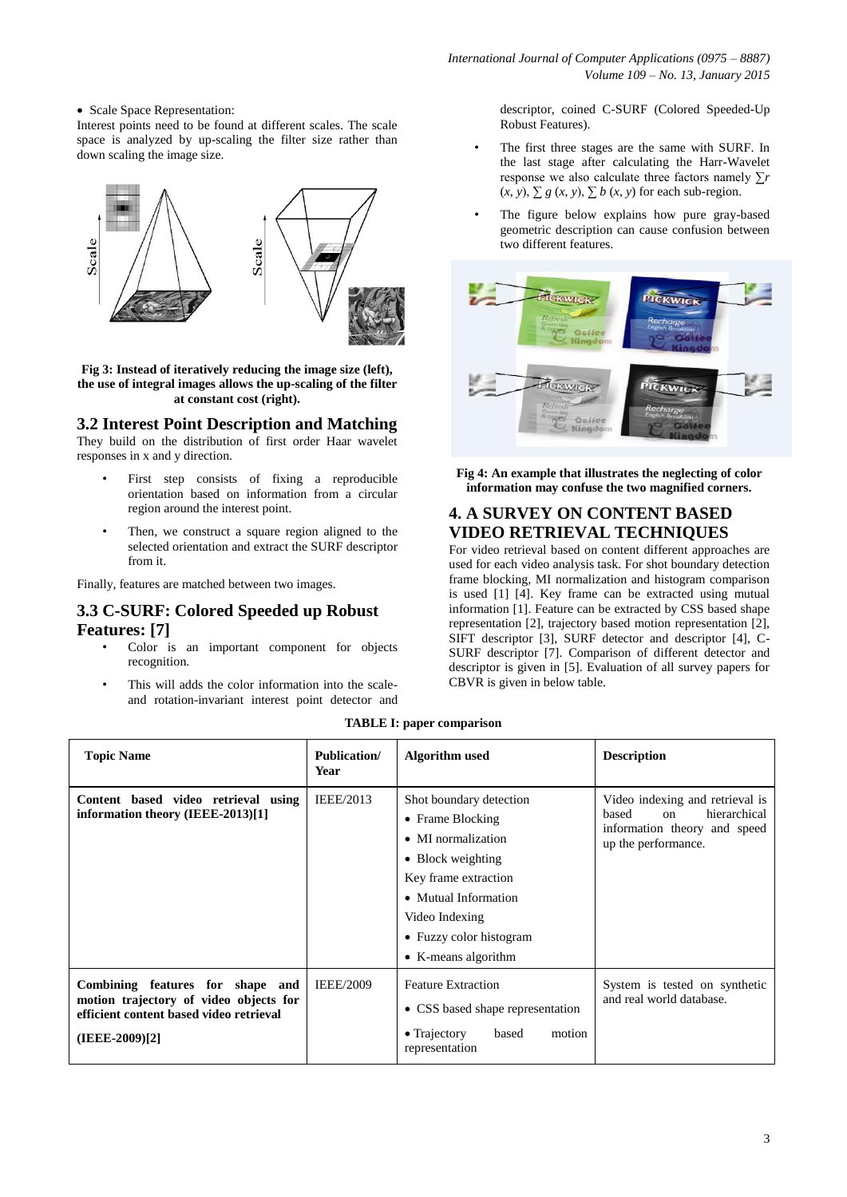• Scale Space Representation:

Interest points need to be found at different scales. The scale space is analyzed by up-scaling the filter size rather than down scaling the image size.



**Fig 3: Instead of iteratively reducing the image size (left), the use of integral images allows the up-scaling of the filter at constant cost (right).**

**3.2 Interest Point Description and Matching**

They build on the distribution of first order Haar wavelet responses in x and y direction.

- First step consists of fixing a reproducible orientation based on information from a circular region around the interest point.
- Then, we construct a square region aligned to the selected orientation and extract the SURF descriptor from it.

Finally, features are matched between two images.

# **3.3 C-SURF: Colored Speeded up Robust Features: [7]**

- Color is an important component for objects recognition.
- This will adds the color information into the scaleand rotation-invariant interest point detector and

descriptor, coined C-SURF (Colored Speeded-Up Robust Features).

- The first three stages are the same with SURF. In the last stage after calculating the Harr-Wavelet response we also calculate three factors namely ∑*r*   $(x, y)$ ,  $\sum g(x, y)$ ,  $\sum b(x, y)$  for each sub-region.
- The figure below explains how pure gray-based geometric description can cause confusion between two different features.



**Fig 4: An example that illustrates the neglecting of color information may confuse the two magnified corners.**

# **4. A SURVEY ON CONTENT BASED VIDEO RETRIEVAL TECHNIQUES**

For video retrieval based on content different approaches are used for each video analysis task. For shot boundary detection frame blocking, MI normalization and histogram comparison is used [1] [4]. Key frame can be extracted using mutual information [1]. Feature can be extracted by CSS based shape representation [2], trajectory based motion representation [2], SIFT descriptor [3], SURF detector and descriptor [4], C-SURF descriptor [7]. Comparison of different detector and descriptor is given in [5]. Evaluation of all survey papers for CBVR is given in below table.

### **TABLE I: paper comparison**

| <b>Topic Name</b>                                                                                                                       | <b>Publication/</b><br>Year | Algorithm used                                                                                                                                                                                                     | <b>Description</b>                                                                                                          |
|-----------------------------------------------------------------------------------------------------------------------------------------|-----------------------------|--------------------------------------------------------------------------------------------------------------------------------------------------------------------------------------------------------------------|-----------------------------------------------------------------------------------------------------------------------------|
| Content based video retrieval using<br>information theory (IEEE-2013)[1]                                                                | IEEE/2013                   | Shot boundary detection<br>• Frame Blocking<br>• MI normalization<br>• Block weighting<br>Key frame extraction<br>• Mutual Information<br>Video Indexing<br>• Fuzzy color histogram<br>$\bullet$ K-means algorithm | Video indexing and retrieval is<br>hierarchical<br>based<br>$\alpha$<br>information theory and speed<br>up the performance. |
| Combining features for shape and<br>motion trajectory of video objects for<br>efficient content based video retrieval<br>(IEEE-2009)[2] | <b>IEEE/2009</b>            | <b>Feature Extraction</b><br>• CSS based shape representation<br>$\bullet$ Trajectory<br>motion<br>based<br>representation                                                                                         | System is tested on synthetic<br>and real world database.                                                                   |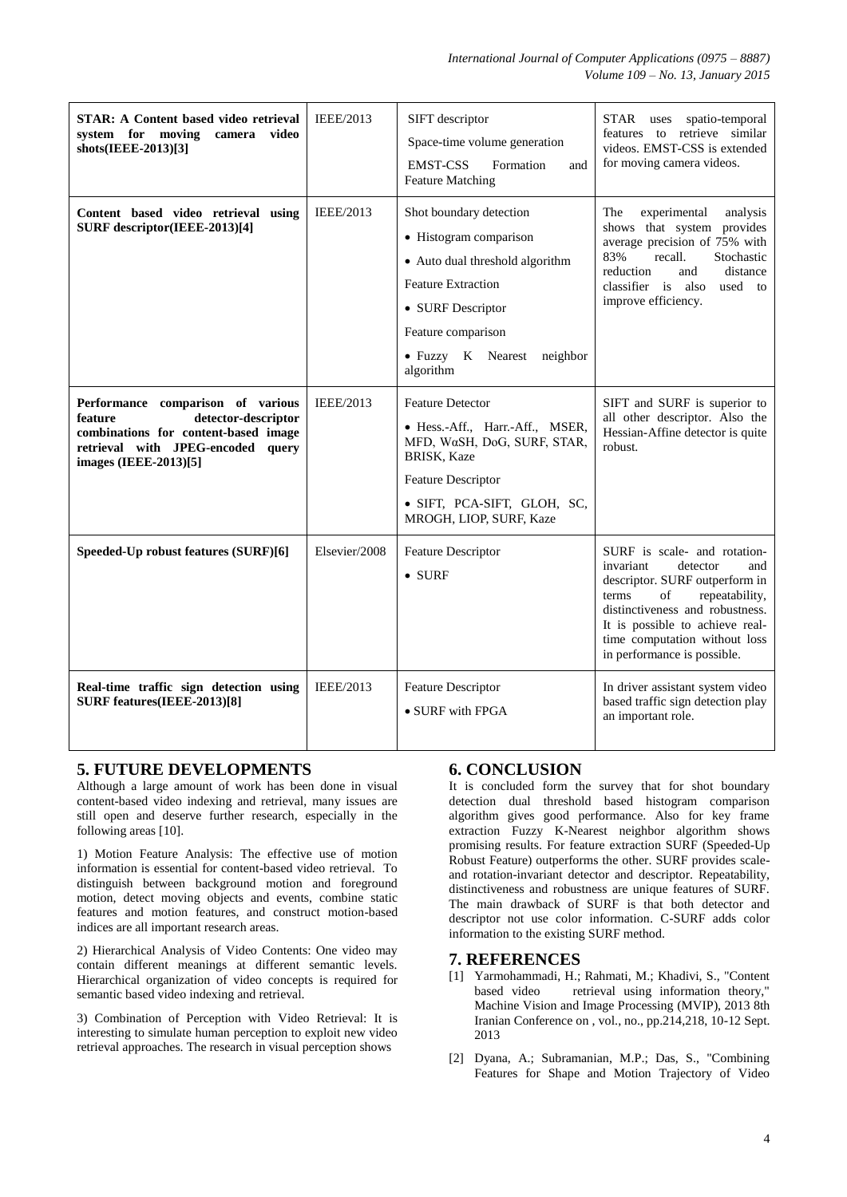*International Journal of Computer Applications (0975 – 8887) Volume 109 – No. 13, January 2015*

| <b>STAR: A Content based video retrieval</b><br>system for moving<br>camera<br>video<br>shots(IEEE-2013)[3]                                                               | <b>IEEE/2013</b> | SIFT descriptor<br>Space-time volume generation<br><b>EMST-CSS</b><br>Formation<br>and<br><b>Feature Matching</b>                                                                                          | STAR uses<br>spatio-temporal<br>features to retrieve similar<br>videos. EMST-CSS is extended<br>for moving camera videos.                                                                                                                                             |
|---------------------------------------------------------------------------------------------------------------------------------------------------------------------------|------------------|------------------------------------------------------------------------------------------------------------------------------------------------------------------------------------------------------------|-----------------------------------------------------------------------------------------------------------------------------------------------------------------------------------------------------------------------------------------------------------------------|
| Content based video retrieval using<br>SURF descriptor(IEEE-2013)[4]                                                                                                      | <b>IEEE/2013</b> | Shot boundary detection<br>• Histogram comparison<br>• Auto dual threshold algorithm<br><b>Feature Extraction</b><br>• SURF Descriptor<br>Feature comparison<br>• Fuzzy K Nearest<br>neighbor<br>algorithm | The<br>experimental<br>analysis<br>shows that system provides<br>average precision of 75% with<br>Stochastic<br>83%<br>recall.<br>reduction<br>and<br>distance<br>classifier is also<br>used to<br>improve efficiency.                                                |
| Performance comparison of various<br>detector-descriptor<br>feature<br>combinations for content-based image<br>retrieval with JPEG-encoded query<br>images (IEEE-2013)[5] | IEEE/2013        | <b>Feature Detector</b><br>• Hess.-Aff., Harr.-Aff., MSER,<br>MFD, WaSH, DoG, SURF, STAR,<br>BRISK, Kaze<br>Feature Descriptor<br>· SIFT, PCA-SIFT, GLOH, SC,<br>MROGH, LIOP, SURF, Kaze                   | SIFT and SURF is superior to<br>all other descriptor. Also the<br>Hessian-Affine detector is quite<br>robust.                                                                                                                                                         |
| Speeded-Up robust features (SURF)[6]                                                                                                                                      | Elsevier/2008    | Feature Descriptor<br>$\bullet$ SURF                                                                                                                                                                       | SURF is scale- and rotation-<br>invariant<br>detector<br>and<br>descriptor. SURF outperform in<br>terms<br>of<br>repeatability,<br>distinctiveness and robustness.<br>It is possible to achieve real-<br>time computation without loss<br>in performance is possible. |
| Real-time traffic sign detection using<br>SURF features(IEEE-2013)[8]                                                                                                     | <b>IEEE/2013</b> | <b>Feature Descriptor</b><br>• SURF with FPGA                                                                                                                                                              | In driver assistant system video<br>based traffic sign detection play<br>an important role.                                                                                                                                                                           |

# **5. FUTURE DEVELOPMENTS**

Although a large amount of work has been done in visual content-based video indexing and retrieval, many issues are still open and deserve further research, especially in the following areas [10].

1) Motion Feature Analysis: The effective use of motion information is essential for content-based video retrieval. To distinguish between background motion and foreground motion, detect moving objects and events, combine static features and motion features, and construct motion-based indices are all important research areas.

2) Hierarchical Analysis of Video Contents: One video may contain different meanings at different semantic levels. Hierarchical organization of video concepts is required for semantic based video indexing and retrieval.

3) Combination of Perception with Video Retrieval: It is interesting to simulate human perception to exploit new video retrieval approaches. The research in visual perception shows

# **6. CONCLUSION**

It is concluded form the survey that for shot boundary detection dual threshold based histogram comparison algorithm gives good performance. Also for key frame extraction Fuzzy K-Nearest neighbor algorithm shows promising results. For feature extraction SURF (Speeded-Up Robust Feature) outperforms the other. SURF provides scaleand rotation-invariant detector and descriptor. Repeatability, distinctiveness and robustness are unique features of SURF. The main drawback of SURF is that both detector and descriptor not use color information. C-SURF adds color information to the existing SURF method.

# **7. REFERENCES**

- [1] Yarmohammadi, H.; Rahmati, M.; Khadivi, S., "Content based video retrieval using information theory," Machine Vision and Image Processing (MVIP), 2013 8th Iranian Conference on , vol., no., pp.214,218, 10-12 Sept. 2013
- [2] Dyana, A.; Subramanian, M.P.; Das, S., "Combining Features for Shape and Motion Trajectory of Video